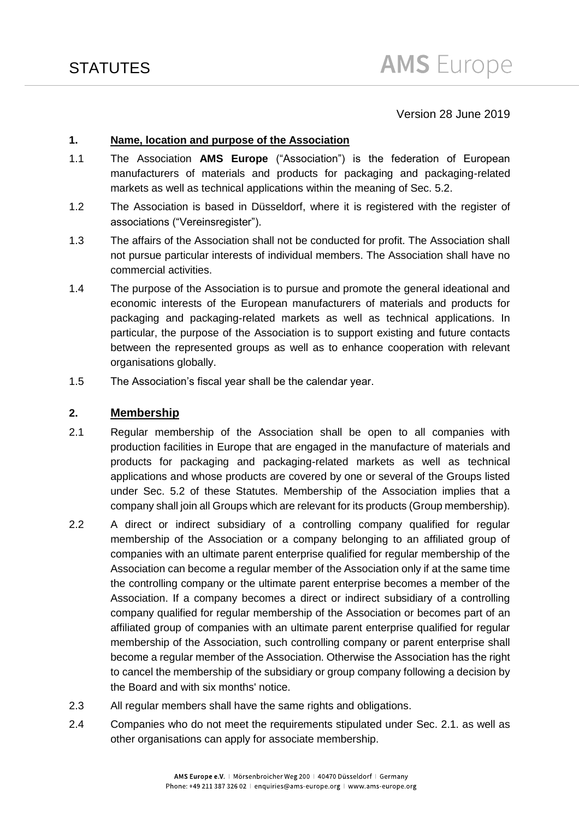## Version 28 June 2019

### **1. Name, location and purpose of the Association**

- 1.1 The Association **AMS Europe** ("Association") is the federation of European manufacturers of materials and products for packaging and packaging-related markets as well as technical applications within the meaning of Sec. 5.2.
- 1.2 The Association is based in Düsseldorf, where it is registered with the register of associations ("Vereinsregister").
- 1.3 The affairs of the Association shall not be conducted for profit. The Association shall not pursue particular interests of individual members. The Association shall have no commercial activities.
- 1.4 The purpose of the Association is to pursue and promote the general ideational and economic interests of the European manufacturers of materials and products for packaging and packaging-related markets as well as technical applications. In particular, the purpose of the Association is to support existing and future contacts between the represented groups as well as to enhance cooperation with relevant organisations globally.
- 1.5 The Association's fiscal year shall be the calendar year.

### **2. Membership**

- 2.1 Regular membership of the Association shall be open to all companies with production facilities in Europe that are engaged in the manufacture of materials and products for packaging and packaging-related markets as well as technical applications and whose products are covered by one or several of the Groups listed under Sec. 5.2 of these Statutes. Membership of the Association implies that a company shall join all Groups which are relevant for its products (Group membership).
- 2.2 A direct or indirect subsidiary of a controlling company qualified for regular membership of the Association or a company belonging to an affiliated group of companies with an ultimate parent enterprise qualified for regular membership of the Association can become a regular member of the Association only if at the same time the controlling company or the ultimate parent enterprise becomes a member of the Association. If a company becomes a direct or indirect subsidiary of a controlling company qualified for regular membership of the Association or becomes part of an affiliated group of companies with an ultimate parent enterprise qualified for regular membership of the Association, such controlling company or parent enterprise shall become a regular member of the Association. Otherwise the Association has the right to cancel the membership of the subsidiary or group company following a decision by the Board and with six months' notice.
- 2.3 All regular members shall have the same rights and obligations.
- 2.4 Companies who do not meet the requirements stipulated under Sec. 2.1. as well as other organisations can apply for associate membership.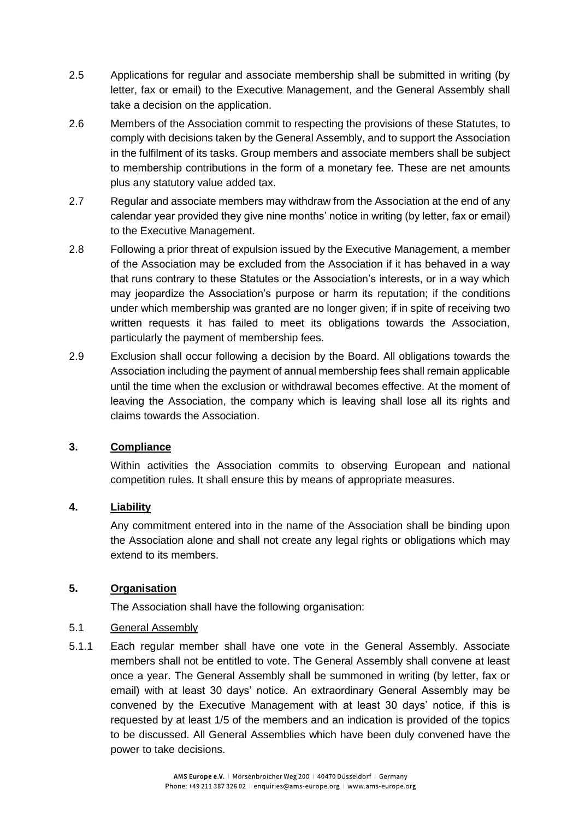- 2.5 Applications for regular and associate membership shall be submitted in writing (by letter, fax or email) to the Executive Management, and the General Assembly shall take a decision on the application.
- 2.6 Members of the Association commit to respecting the provisions of these Statutes, to comply with decisions taken by the General Assembly, and to support the Association in the fulfilment of its tasks. Group members and associate members shall be subject to membership contributions in the form of a monetary fee. These are net amounts plus any statutory value added tax.
- 2.7 Regular and associate members may withdraw from the Association at the end of any calendar year provided they give nine months' notice in writing (by letter, fax or email) to the Executive Management.
- 2.8 Following a prior threat of expulsion issued by the Executive Management, a member of the Association may be excluded from the Association if it has behaved in a way that runs contrary to these Statutes or the Association's interests, or in a way which may jeopardize the Association's purpose or harm its reputation; if the conditions under which membership was granted are no longer given; if in spite of receiving two written requests it has failed to meet its obligations towards the Association, particularly the payment of membership fees.
- 2.9 Exclusion shall occur following a decision by the Board. All obligations towards the Association including the payment of annual membership fees shall remain applicable until the time when the exclusion or withdrawal becomes effective. At the moment of leaving the Association, the company which is leaving shall lose all its rights and claims towards the Association.

# **3. Compliance**

Within activities the Association commits to observing European and national competition rules. It shall ensure this by means of appropriate measures.

# **4. Liability**

Any commitment entered into in the name of the Association shall be binding upon the Association alone and shall not create any legal rights or obligations which may extend to its members.

# **5. Organisation**

The Association shall have the following organisation:

### 5.1 General Assembly

5.1.1 Each regular member shall have one vote in the General Assembly. Associate members shall not be entitled to vote. The General Assembly shall convene at least once a year. The General Assembly shall be summoned in writing (by letter, fax or email) with at least 30 days' notice. An extraordinary General Assembly may be convened by the Executive Management with at least 30 days' notice, if this is requested by at least 1/5 of the members and an indication is provided of the topics to be discussed. All General Assemblies which have been duly convened have the power to take decisions.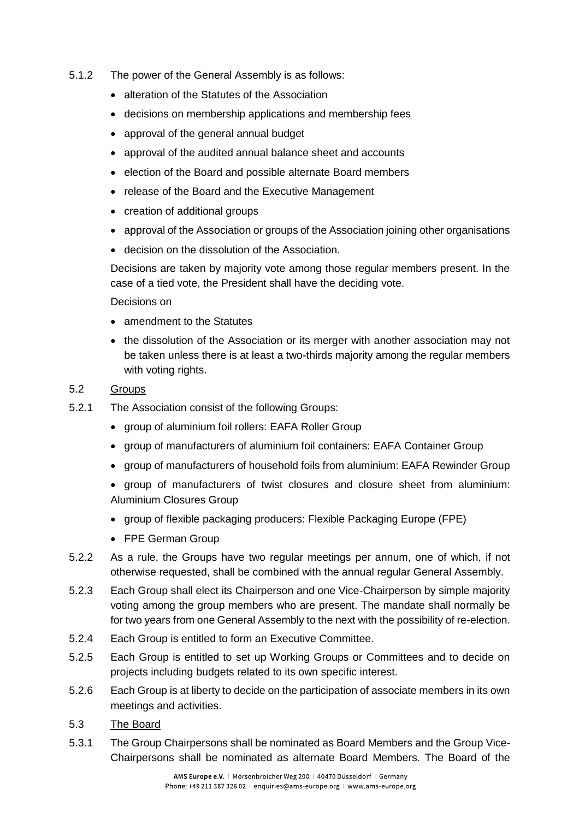- 5.1.2 The power of the General Assembly is as follows:
	- alteration of the Statutes of the Association
	- decisions on membership applications and membership fees
	- approval of the general annual budget
	- approval of the audited annual balance sheet and accounts
	- election of the Board and possible alternate Board members
	- release of the Board and the Executive Management
	- creation of additional groups
	- approval of the Association or groups of the Association joining other organisations
	- decision on the dissolution of the Association.

Decisions are taken by majority vote among those regular members present. In the case of a tied vote, the President shall have the deciding vote.

Decisions on

- amendment to the Statutes
- the dissolution of the Association or its merger with another association may not be taken unless there is at least a two-thirds majority among the regular members with voting rights.

### 5.2 Groups

- 5.2.1 The Association consist of the following Groups:
	- group of aluminium foil rollers: EAFA Roller Group
	- group of manufacturers of aluminium foil containers: EAFA Container Group
	- group of manufacturers of household foils from aluminium: EAFA Rewinder Group
	- group of manufacturers of twist closures and closure sheet from aluminium: Aluminium Closures Group
	- group of flexible packaging producers: Flexible Packaging Europe (FPE)
	- FPE German Group
- 5.2.2 As a rule, the Groups have two regular meetings per annum, one of which, if not otherwise requested, shall be combined with the annual regular General Assembly.
- 5.2.3 Each Group shall elect its Chairperson and one Vice-Chairperson by simple majority voting among the group members who are present. The mandate shall normally be for two years from one General Assembly to the next with the possibility of re-election.
- 5.2.4 Each Group is entitled to form an Executive Committee.
- 5.2.5 Each Group is entitled to set up Working Groups or Committees and to decide on projects including budgets related to its own specific interest.
- 5.2.6 Each Group is at liberty to decide on the participation of associate members in its own meetings and activities.
- 5.3 The Board
- 5.3.1 The Group Chairpersons shall be nominated as Board Members and the Group Vice-Chairpersons shall be nominated as alternate Board Members. The Board of the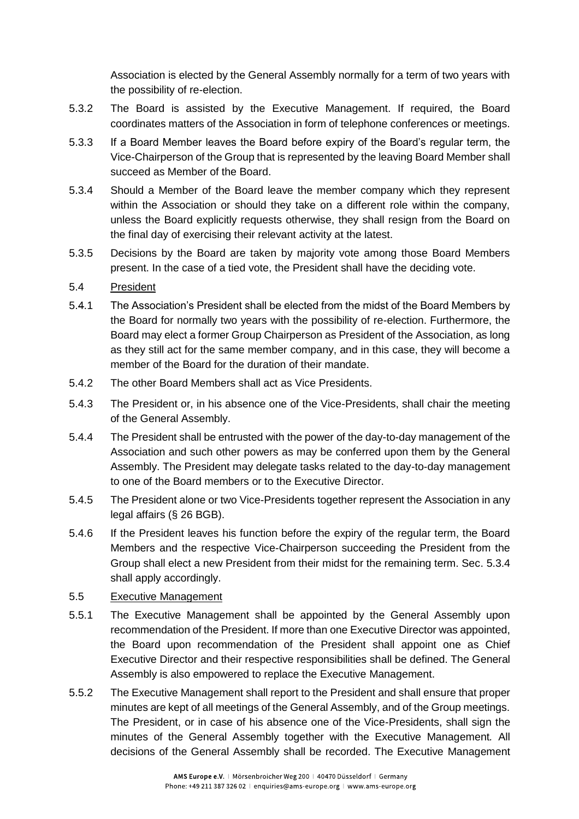Association is elected by the General Assembly normally for a term of two years with the possibility of re-election.

- 5.3.2 The Board is assisted by the Executive Management. If required, the Board coordinates matters of the Association in form of telephone conferences or meetings.
- 5.3.3 If a Board Member leaves the Board before expiry of the Board's regular term, the Vice-Chairperson of the Group that is represented by the leaving Board Member shall succeed as Member of the Board.
- 5.3.4 Should a Member of the Board leave the member company which they represent within the Association or should they take on a different role within the company, unless the Board explicitly requests otherwise, they shall resign from the Board on the final day of exercising their relevant activity at the latest.
- 5.3.5 Decisions by the Board are taken by majority vote among those Board Members present. In the case of a tied vote, the President shall have the deciding vote.

## 5.4 President

- 5.4.1 The Association's President shall be elected from the midst of the Board Members by the Board for normally two years with the possibility of re-election. Furthermore, the Board may elect a former Group Chairperson as President of the Association, as long as they still act for the same member company, and in this case, they will become a member of the Board for the duration of their mandate.
- 5.4.2 The other Board Members shall act as Vice Presidents.
- 5.4.3 The President or, in his absence one of the Vice-Presidents, shall chair the meeting of the General Assembly.
- 5.4.4 The President shall be entrusted with the power of the day-to-day management of the Association and such other powers as may be conferred upon them by the General Assembly. The President may delegate tasks related to the day-to-day management to one of the Board members or to the Executive Director.
- 5.4.5 The President alone or two Vice-Presidents together represent the Association in any legal affairs (§ 26 BGB).
- 5.4.6 If the President leaves his function before the expiry of the regular term, the Board Members and the respective Vice-Chairperson succeeding the President from the Group shall elect a new President from their midst for the remaining term. Sec. 5.3.4 shall apply accordingly.

### 5.5 Executive Management

- 5.5.1 The Executive Management shall be appointed by the General Assembly upon recommendation of the President. If more than one Executive Director was appointed, the Board upon recommendation of the President shall appoint one as Chief Executive Director and their respective responsibilities shall be defined. The General Assembly is also empowered to replace the Executive Management.
- 5.5.2 The Executive Management shall report to the President and shall ensure that proper minutes are kept of all meetings of the General Assembly, and of the Group meetings. The President, or in case of his absence one of the Vice-Presidents, shall sign the minutes of the General Assembly together with the Executive Management*.* All decisions of the General Assembly shall be recorded. The Executive Management